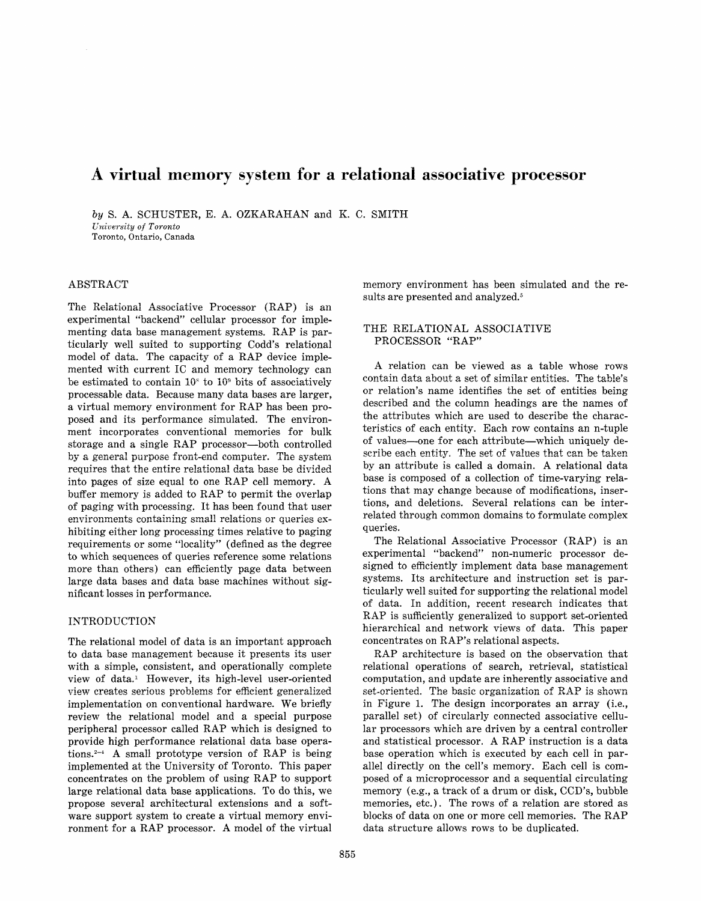# A virtual memory system for a relational associative processor

*by* S. A. SCHUSTER, E. A. OZKARAHAN and K. C. SMITH *University of Toronto*  Toronto, Ontario, Canada

# ABSTRACT

The Relational Associative Processor  $(RAP)$  is an experimental "backend" cellular processor for implementing data base management systems. RAP is particularly well suited to supporting Codd's relational model of data. The capacity of a RAP device implemented with current IC and memory technology can be estimated to contain  $10^{\circ}$  to  $10^{\circ}$  bits of associatively processable data. Because many data bases are larger, a virtual memory environment for RAP has been proposed and its performance simulated. The environment incorporates conventional memories for bulk storage and a single RAP processor—both controlled by a general purpose front-end computer. The system requires that the entire relational data base be divided into pages of size equal to one RAP cell memory. A buffer memory is added to RAP to permit the overlap of paging with processing. It has been found that user environments containing small relations or queries exhibiting either long processing times relative to paging requirements or some "locality" (defined as the degree to which sequences of queries reference some relations more than others) can efficiently page data between large data bases and data base machines without significant losses in performance.

# INTRODUCTION

The relational model of data is an important approach to data base management because it presents its user with a simple, consistent, and operationally complete view of data.<sup>1</sup> However, its high-level user-oriented view creates serious problems for efficient generalized implementation on conventional hardware. We briefly review the relational model and a special purpose peripheral processor called RAP which is designed to provide high performance relational data base opera $tions.<sup>2-1</sup>$  A small prototype version of RAP is being implemented at the University of Toronto. This paper concentrates on the problem of using RAP to support large relational data base applications. To do this, we propose several architectural extensions and a software support system to create a virtual memory environment for a RAP processor. A model of the virtual

memory environment has been simulated and the results are presented and analyzed.<sup>5</sup>

# THE RELATIONAL ASSOCIATIVE PROCESSOR "RAP"

A relation can be viewed as a table whose rows contain data about a set of similar entities. The table's or relation's name identifies the set of entities being described and the column headings are the names of the attributes which are used to describe the characteristics of each entity. Each row contains an n-tuple of values—one for each attribute—which uniquely describe each entity. The set of values that can be taken by an attribute is called a domain. A relational data base is composed of a collection of time-varying relations that may change because of modifications, insertions, and deletions. Several relations can be interrelated through common domains to formulate complex queries.

The Relational Associative Processor (RAP) is an experimental "backend" non-numeric processor designed to efficiently implement data base management systems. Its architecture and instruction set is particularly well suited for supporting the relational model of data. In addition, recent research indicates that RAP is sufficiently generalized to support set-oriented hierarchical and network views of data. This paper concentrates on RAP's relational aspects.

RAP architecture is based on the observation that relational operations of search, retrieval, statistical computation, and update are inherently associative and set-oriented. The basic organization of RAP is shown in Figure 1. The design incorporates an array (i.e., parallel set) of circularly connected associative cellular processors which are driven by a central controller and statistical processor. A RAP instruction is a data base operation which is executed by each cell in parallel directly on the cell's memory. Each cell is composed of a microprocessor and a sequential circulating memory (e.g., a track of a drum or disk, CCD's, bubble memories, etc.). The rows of a relation are stored as blocks of data on one or more cell memories. The RAP data structure allows rows to be duplicated.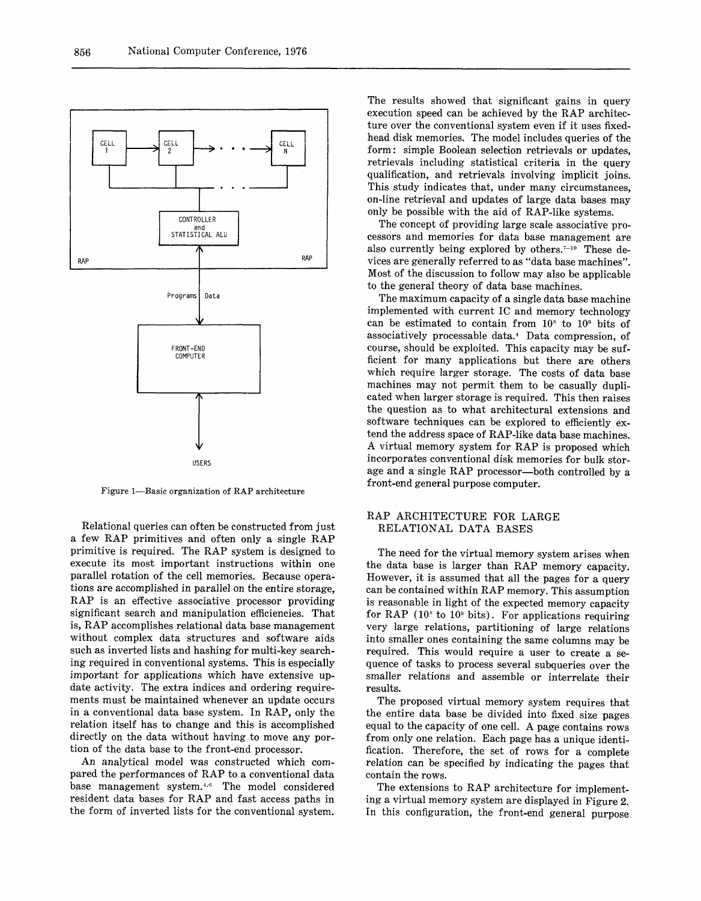

Figure 1—Basic organization of RAP architecture

Relational queries can often be constructed from just a few RAP primitives and often only a single RAP primitive is required. The RAP system is designed to execute its most important instructions within one parallel rotation of the cell memories. Because operations are accomplished in parallel on the entire storage, RAP is an effective associative processor providing significant search and manipulation efficiencies. That is, RAP accomplishes relational data base management without complex data structures and software aids such as inverted lists and hashing for multi-key searching required in conventional systems. This is especially important for applications which have extensive update activity. The extra indices and ordering requirements must be maintained whenever an update occurs in a conventional data base system. In RAP, only the relation itself has to change and this is accomplished directly on the data without having to move any portion of the data base to the front-end processor.

An analytical model was constructed which compared the performances of RAP to a conventional data base management system.<sup>4,6</sup> The model considered resident data bases for RAP and fast access paths in the form of inverted lists for the conventional system.

The results showed that significant gains in query execution speed can be achieved by the RAP architecture over the conventional system even if it uses fixedhead disk memories. The model includes queries of the form: simple Boolean selection retrievals or updates, retrievals including statistical criteria in the query qualification, and retrievals involving implicit joins. This study indicates that, under many circumstances, on-line retrieval and updates of large data bases may only be possible with the aid of RAP-like systems.

The concept of providing large scale associative processors and memories for data base management are also currently being explored by others.<sup>7-10</sup> These devices are generally referred to as "data base machines". Most of the discussion to follow may also be applicable to the general theory of data base machines.

The maximum capacity of a single data base machine implemented with current IC and memory technology can be estimated to contain from  $10^{\circ}$  to  $10^{\circ}$  bits of associatively processable data.<sup>4</sup> Data compression, of course, should be exploited. This capacity may be sufficient for many applications but there are others which require larger storage. The costs of data base machines may not permit them to be casually duplicated when larger storage is required. This then raises the question as to what architectural extensions and software techniques can be explored to efficiently extend the address space of RAP-like data base machines. A virtual memory system for RAP is proposed which incorporates conventional disk memories for bulk storage and a single RAP processor—both controlled by a front-end general purpose computer.

# RAP ARCHITECTURE FOR LARGE RELATIONAL DATA BASES

The need for the virtual memory system arises when the data base is larger than RAP memory capacity. However, it is assumed that all the pages for a query can be contained within RAP memory. This assumption is reasonable in light of the expected memory capacity for RAP ( $10^{\circ}$  to  $10^{\circ}$  bits). For applications requiring very large relations, partitioning of large relations into smaller ones containing the same columns may be required. This would require a user to create a sequence of tasks to process several subqueries over the smaller relations and assemble or interrelate their results.

The proposed virtual memory system requires that the entire data base be divided into fixed size pages equal to the capacity of one cell. A page contains rows from only one relation. Each page has a unique identification. Therefore, the set of rows for a complete relation can be specified by indicating the pages that contain the rows.

The extensions to RAP architecture for implementing a virtual memory system are displayed in Figure 2. In this configuration, the front-end general purpose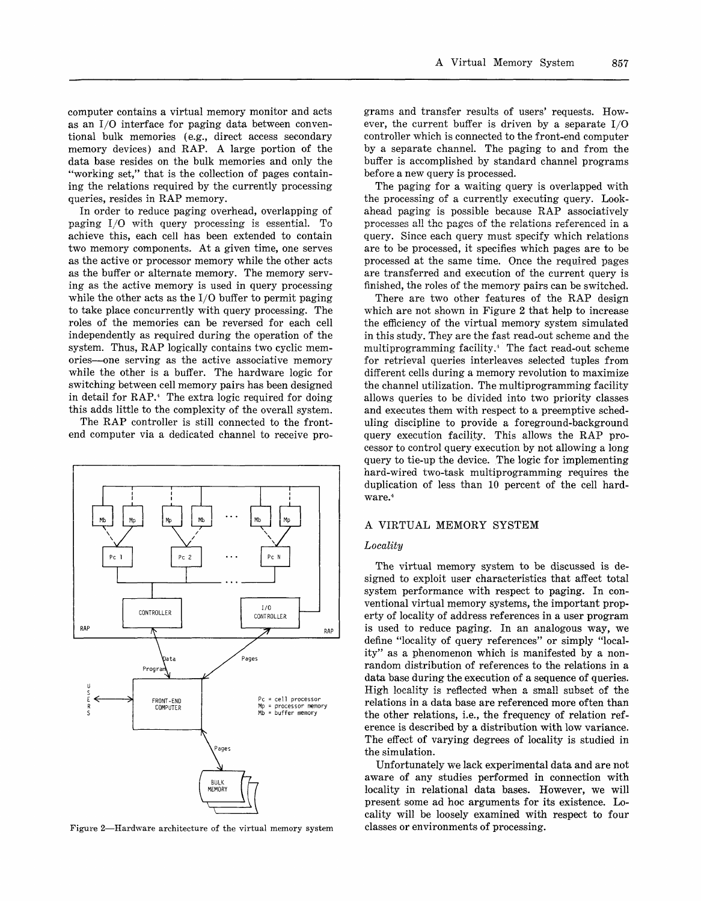computer contains a virtual memory monitor and acts as an I/O interface for paging data between conventional bulk memories (e.g., direct access secondary memory devices) and RAP. A large portion of the data base resides on the bulk memories and only the "working set," that is the collection of pages containing the relations required by the currently processing queries, resides in RAP memory.

In order to reduce paging overhead, overlapping of paging I/O with query processing is essential. To achieve this, each cell has been extended to contain two memory components. At a given time, one serves as the active or processor memory while the other acts as the buffer or alternate memory. The memory serving as the active memory is used in query processing while the other acts as the I/O buffer to permit paging to take place concurrently with query processing. The roles of the memories can be reversed for each cell independently as required during the operation of the system. Thus, RAP logically contains two cyclic memories—one serving as the active associative memory while the other is a buffer. The hardware logic for switching between cell memory pairs has been designed in detail for RAP.<sup>4</sup> The extra logic required for doing this adds little to the complexity of the overall system.

The RAP controller is still connected to the frontend computer via a dedicated channel to receive pro-



Figure 2—Hardware architecture of the virtual memory system

grams and transfer results of users' requests. However, the current buffer is driven by a separate I/O controller which is connected to the front-end computer by a separate channel. The paging to and from the buffer is accomplished by standard channel programs before a new query is processed.

The paging for a waiting query is overlapped with the processing of a currently executing query. Lookahead paging is possible because RAP associatively processes all the pages of the relations referenced in a query. Since each query must specify which relations are to be processed, it specifies which pages are to be processed at the same time. Once the required pages are transferred and execution of the current query is finished, the roles of the memory pairs can be switched.

There are two other features of the RAP design which are not shown in Figure 2 that help to increase the efficiency of the virtual memory system simulated in this study. They are the fast read-out scheme and the multiprogramming facility.\* The fact read-out scheme for retrieval queries interleaves selected tuples from different cells during a memory revolution to maximize the channel utilization. The multiprogramming facility allows queries to be divided into two priority classes and executes them with respect to a preemptive scheduling discipline to provide a foreground-background query execution facility. This allows the RAP processor to control query execution by not allowing a long query to tie-up the device. The logic for implementing hard-wired two-task multiprogramming requires the duplication of less than 10 percent of the cell hardware.<sup>4</sup>

## A VIRTUAL MEMORY SYSTEM

#### *Locality*

The virtual memory system to be discussed is designed to exploit user characteristics that affect total system performance with respect to paging. In conventional virtual memory systems, the important property of locality of address references in a user program is used to reduce paging. In an analogous way, we define "locality of query references" or simply "locality" as a phenomenon which is manifested by a nonrandom distribution of references to the relations in a data base during the execution of a sequence of queries. High locality is reflected when a small subset of the relations in a data base are referenced more often than the other relations, i.e., the frequency of relation reference is described by a distribution with low variance. The effect of varying degrees of locality is studied in the simulation.

Unfortunately we lack experimental data and are not aware of any studies performed in connection with locality in relational data bases. However, we will present some ad hoc arguments for its existence. Locality will be loosely examined with respect to four classes or environments of processing.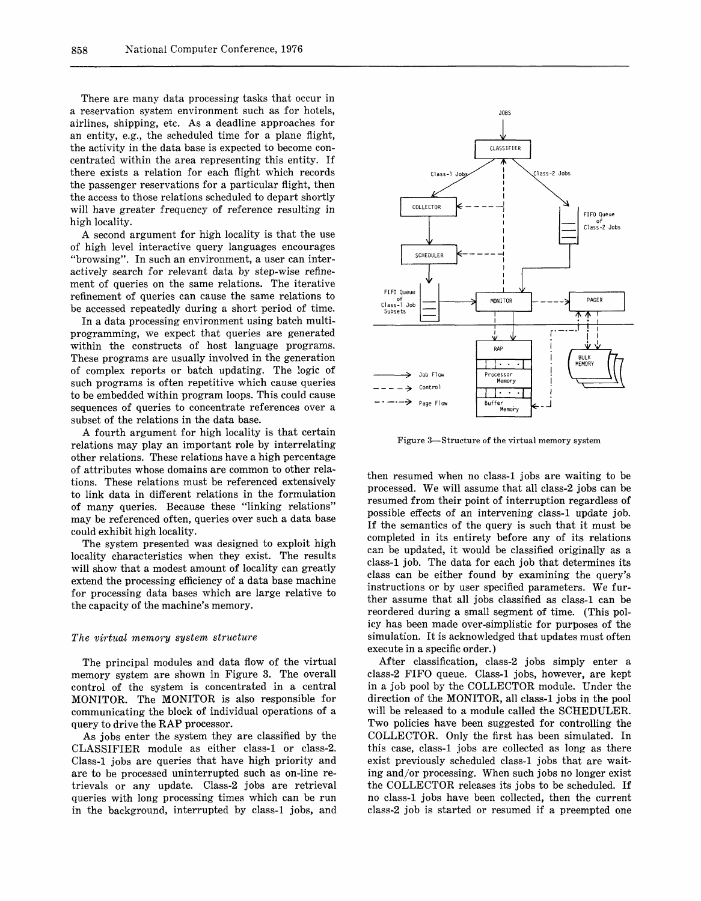There are many data processing tasks that occur in a reservation system environment such as for hotels, airlines, shipping, etc. As a deadline approaches for an entity, e.g., the scheduled time for a plane flight, the activity in the data base is expected to become concentrated within the area representing this entity. If there exists a relation for each flight which records the passenger reservations for a particular flight, then the access to those relations scheduled to depart shortly will have greater frequency of reference resulting in high locality.

A second argument for high locality is that the use of high level interactive query languages encourages "browsing". In such an environment, a user can interactively search for relevant data by step-wise refinement of queries on the same relations. The iterative refinement of queries can cause the same relations to be accessed repeatedly during a short period of time.

In a data processing environment using batch multiprogramming, we expect that queries are generated within the constructs of host language programs. These programs are usually involved in the generation of complex reports or batch updating. The logic of such programs is often repetitive which cause queries to be embedded within program loops. This could cause sequences of queries to concentrate references over a subset of the relations in the data base.

A fourth argument for high locality is that certain relations may play an important role by interrelating other relations. These relations have a high percentage of attributes whose domains are common to other relations. These relations must be referenced extensively to link data in different relations in the formulation of many queries. Because these "linking relations" may be referenced often, queries over such a data base could exhibit high locality.

The system presented was designed to exploit high locality characteristics when they exist. The results will show that a modest amount of locality can greatly extend the processing efficiency of a data base machine for processing data bases which are large relative to the capacity of the machine's memory.

#### *The virtual memory system structure*

The principal modules and data flow of the virtual memory system are shown in Figure 3. The overall control of the system is concentrated in a central MONITOR. The MONITOR is also responsible for communicating the block of individual operations of a query to drive the RAP processor.

As jobs enter the system they are classified by the CLASSIFIER module as either class-1 or class-2. Class-1 jobs are queries that have high priority and are to be processed uninterrupted such as on-line retrievals or any update. Class-2 jobs are retrieval queries with long processing times which can be run in the background, interrupted by class-1 jobs, and



Figure 3—Structure of the virtual memory system

then resumed when no class-1 jobs are waiting to be processed. We will assume that all class-2 jobs can be resumed from their point of interruption regardless of possible effects of an intervening class-1 update job. If the semantics of the query is such that it must be completed in its entirety before any of its relations can be updated, it would be classified originally as a class-1 job. The data for each job that determines its class can be either found by examining the query's instructions or by user specified parameters. We further assume that all jobs classified as class-1 can be reordered during a small segment of time. (This policy has been made over-simplistic for purposes of the simulation. It is acknowledged that updates must often execute in a specific order.)

After classification, class-2 jobs simply enter a class-2 FIFO queue. Class-1 jobs, however, are kept in a job pool by the COLLECTOR module. Under the direction of the MONITOR, all class-1 jobs in the pool will be released to a module called the SCHEDULER. Two policies have been suggested for controlling the COLLECTOR. Only the first has been simulated. In this case, class-1 jobs are collected as long as there exist previously scheduled class-1 jobs that are waiting and/or processing. When such jobs no longer exist the COLLECTOR releases its jobs to be scheduled. If no class-1 jobs have been collected, then the current class-2 job is started or resumed if a preempted one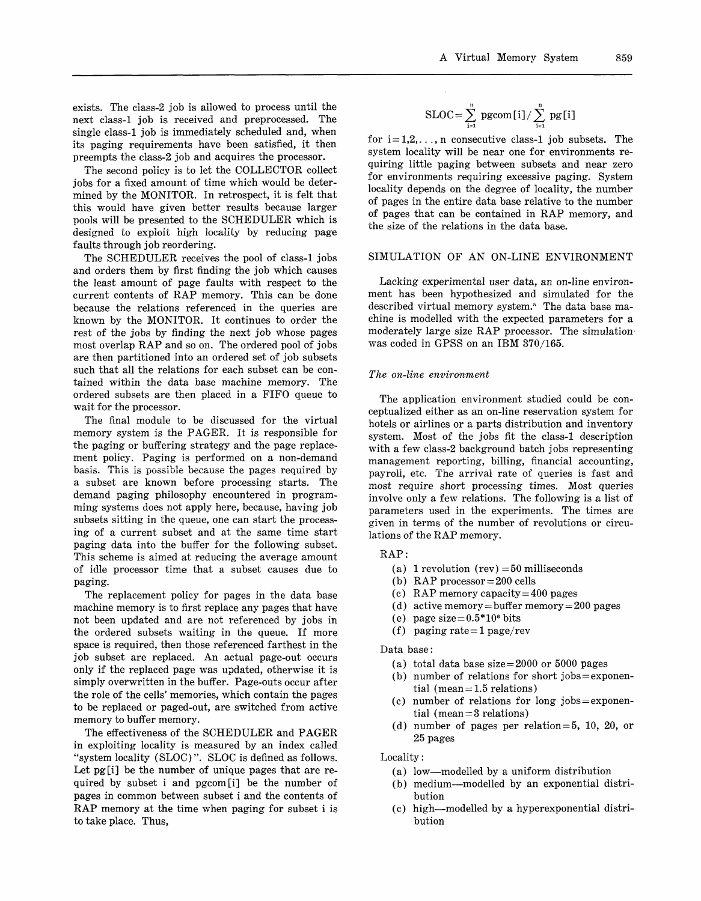exists. The ciass-2 job is allowed to process until the next class-1 job is received and preprocessed. The single class-1 job is immediately scheduled and, when its paging requirements have been satisfied, it then preempts the class-2 job and acquires the processor.

The second policy is to let the COLLECTOR collect jobs for a fixed amount of time which would be determined by the MONITOR. In retrospect, it is felt that this would have given better results because larger pools will be presented to the SCHEDULER which is designed to exploit high locality by reducing page faults through job reordering.

The SCHEDULER receives the pool of class-1 jobs and orders them by first finding the job which causes the least amount of page faults with respect to the current contents of RAP memory. This can be done because the relations referenced in the queries are known by the MONITOR. It continues to order the rest of the jobs by finding the next job whose pages most overlap RAP and so on. The ordered pool of jobs are then partitioned into an ordered set of job subsets such that all the relations for each subset can be contained within the data base machine memory. The ordered subsets are then placed in a FIFO queue to wait for the processor.

The final module to be discussed for the virtual memory system is the PAGER. It is responsible for the paging or buffering strategy and the page replacement policy. Paging is performed on a non-demand basis. This is possible because the pages required by a subset are known before processing starts. The demand paging philosophy encountered in programming systems does not apply here, because, having job subsets sitting in the queue, one can start the processing of a current subset and at the same time start paging data into the buffer for the following subset. This scheme is aimed at reducing the average amount of idle processor time that a subset causes due to paging.

The replacement policy for pages in the data base machine memory is to first replace any pages that have not been updated and are not referenced by jobs in the ordered subsets waiting in the queue. If more space is required, then those referenced farthest in the job subset are replaced. An actual page-out occurs only if the replaced page was updated, otherwise it is simply overwritten in the buffer. Page-outs occur after the role of the cells' memories, which contain the pages to be replaced or paged-out, are switched from active memory to buffer memory.

The effectiveness of the SCHEDULER and PAGER in exploiting locality is measured by an index called "system locality (SLOC)". SLOC is defined as follows. Let pg[i] be the number of unique pages that are required by subset i and pgcom[i] be the number of pages in common between subset i and the contents of RAP memory at the time when paging for subset i is to take place. Thus,

$$
SLOC = \sum_{i=1}^{n} \ pgeom[i]/\sum_{i=1}^{n} \ pg[i]
$$

for  $i = 1, 2, \ldots, n$  consecutive class-1 job subsets. The system locality will be near one for environments requiring little paging between subsets and near zero for environments requiring excessive paging. System locality depends on the degree of locality, the number of pages in the entire data base relative to the number of pages that can be contained in RAP memory, and the size of the relations in the data base.

# SIMULATION OF AN ON-LINE ENVIRONMENT

Lacking experimental user data, an on-line environment has been hypothesized and simulated for the described virtual memory system.<sup>5</sup> The data base machine is modelled with the expected parameters for a moderately large size RAP processor. The simulation was coded in GPSS on an IBM 370/165.

## *The on-line environment*

The application environment studied could be conceptualized either as an on-line reservation system for hotels or airlines or a parts distribution and inventory system. Most of the jobs fit the class-1 description with a few class-2 background batch jobs representing management reporting, billing, financial accounting, payroll, etc. The arrival rate of queries is fast and most require short processing times. Most queries involve only a few relations. The following is a list of parameters used in the experiments. The times are given in terms of the number of revolutions or circulations of the RAP memory.

## RAP:

- (a) 1 revolution (rev)  $=50$  milliseconds
- (b) RAP processor  $= 200$  cells
- (c) RAP memory capacity  $= 400$  pages
- (d) active memory = buffer memory = 200 pages
- (e) page size= $0.5*10<sup>6</sup>$  bits
- (f) paging rate= $1$  page/rev

Data base:

- (a) total data base size  $= 2000$  or 5000 pages
- (b) number of relations for short  $jobs =$ exponential (mean  $= 1.5$  relations)
- (c) number of relations for long  $jobs = exponent$ tial (mean = 3 relations)
- (d) number of pages per relation  $= 5$ , 10, 20, or 25 pages

Locality:

- (a) low—modelled by a uniform distribution
- (b) medium—modelled by an exponential distribution
- (c) high—modelled by a hyperexponential distribution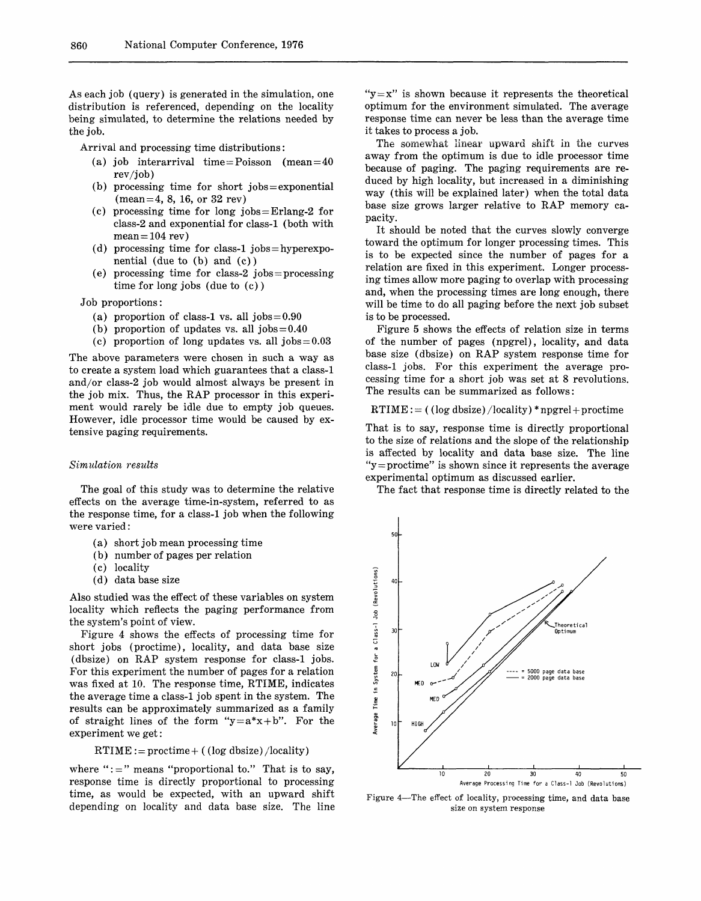As each job (query) is generated in the simulation, one distribution is referenced, depending on the locality being simulated, to determine the relations needed by the job.

Arrival and processing time distributions:

- (a) job interarrival time = Poisson (mean =  $40$ rev/job)
- $(b)$  processing time for short jobs = exponential  $(mean = 4, 8, 16, or 32 rev)$
- (c) processing time for long jobs = Erlang-2 for class-2 and exponential for class-1 (both with  $mean = 104$  rev)
- (d) processing time for class-1 jobs = hyperexponential (due to (b) and (c))
- (e) processing time for class-2 jobs = processing time for long jobs (due to (c))
- Job proportions:
	- (a) proportion of class-1 vs. all  $jobs = 0.90$
	- (b) proportion of updates vs. all  $jobs = 0.40$
	- (c) proportion of long updates vs. all  $jobs = 0.03$

The above parameters were chosen in such a way as to create a system load which guarantees that a class-1 and/or class-2 job would almost always be present in the job mix. Thus, the RAP processor in this experiment would rarely be idle due to empty job queues. However, idle processor time would be caused by extensive paging requirements.

#### *Simulation results*

The goal of this study was to determine the relative effects on the average time-in-system, referred to as the response time, for a class-1 job when the following were varied:

- (a) short job mean processing time
- (b) number of pages per relation
- (c) locality
- (d) data base size

Also studied was the effect of these variables on system locality which reflects the paging performance from the system's point of view.

Figure 4 shows the effects of processing time for short jobs (proctime), locality, and data base size (dbsize) on RAP system response for class-1 jobs. For this experiment the number of pages for a relation was fixed at 10. The response time, RTIME, indicates the average time a class-1 job spent in the system. The results can be approximately summarized as a family of straight lines of the form " $y=a*x+b$ ". For the experiment we get:

#### $RTIME :=$  proctime + ((log dbsize)/locality)

where " $:=$ " means "proportional to." That is to say, response time is directly proportional to processing time, as would be expected, with an upward shift depending on locality and data base size. The line " $y=x$ " is shown because it represents the theoretical optimum for the environment simulated. The average response time can never be less than the average time it takes to process a job.

The somewhat linear upward shift in the curves away from the optimum is due to idle processor time because of paging. The paging requirements are reduced by high locality, but increased in a diminishing way (this will be explained later) when the total data base size grows larger relative to RAP memory capacity.

It should be noted that the curves slowly converge toward the optimum for longer processing times. This is to be expected since the number of pages for a relation are fixed in this experiment. Longer processing times allow more paging to overlap with processing and, when the processing times are long enough, there will be time to do all paging before the next job subset is to be processed.

Figure 5 shows the effects of relation size in terms of the number of pages (npgrel), locality, and data base size (dbsize) on RAP system response time for class-1 jobs. For this experiment the average processing time for a short job was set at 8 revolutions. The results can be summarized as follows:

 $RTIME: = (log dsize)/locality)*npgrel+proctime$ 

That is to say, response time is directly proportional to the size of relations and the slope of the relationship is affected by locality and data base size. The line " $y =$  proctime" is shown since it represents the average experimental optimum as discussed earlier.

The fact that response time is directly related to the



Figure 4—The effect of locality, processing time, and data base size on system response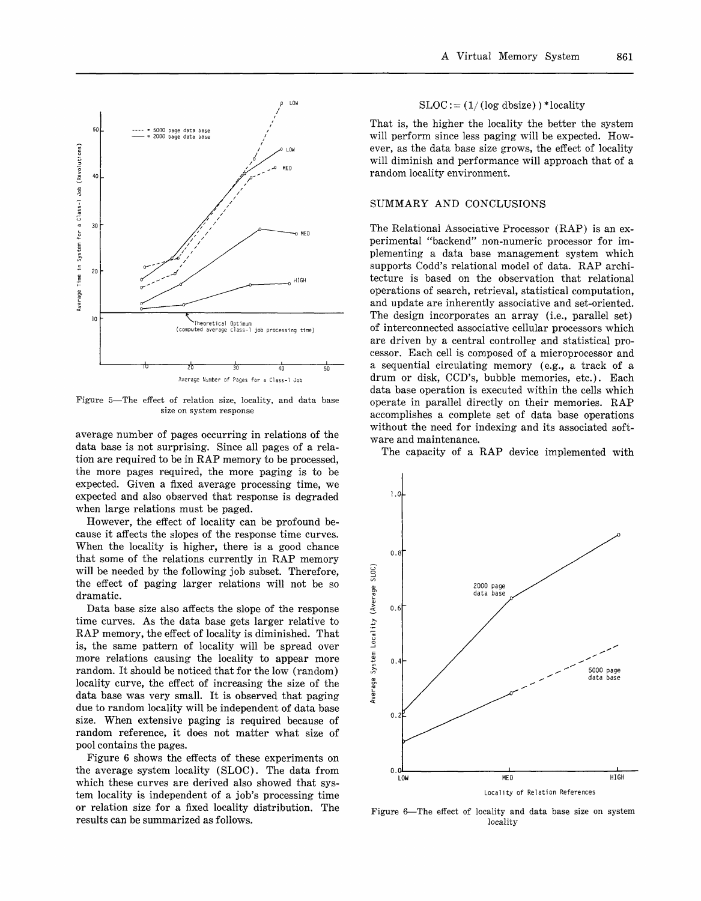

Figure 5—The effect of relation size, locality, and data base size on system response

average number of pages occurring in relations of the data base is not surprising. Since all pages of a relation are required to be in RAP memory to be processed, the more pages required, the more paging is to be expected. Given a fixed average processing time, we expected and also observed that response is degraded when large relations must be paged.

However, the effect of locality can be profound because it affects the slopes of the response time curves. When the locality is higher, there is a good chance that some of the relations currently in RAP memory will be needed by the following job subset. Therefore, the effect of paging larger relations will not be so dramatic.

Data base size also affects the slope of the response time curves. As the data base gets larger relative to RAP memory, the effect of locality is diminished. That is, the same pattern of locality will be spread over more relations causing the locality to appear more random. It should be noticed that for the low (random) locality curve, the effect of increasing the size of the data base was very small. It is observed that paging due to random locality will be independent of data base size. When extensive paging is required because of random reference, it does not matter what size of pool contains the pages.

Figure 6 shows the effects of these experiments on the average system locality (SLOC). The data from which these curves are derived also showed that system locality is independent of a job's processing time or relation size for a fixed locality distribution. The results can be summarized as follows.

# $SLOC := (1/(\log \text{dbsize})) * \text{locality}$

That is, the higher the locality the better the system will perform since less paging will be expected. However, as the data base size grows, the effect of locality will diminish and performance will approach that of a random locality environment.

# SUMMARY AND CONCLUSIONS

The Relational Associative Processor (RAP) is an experimental "backend" non-numeric processor for implementing a data base management system which supports Codd's relational model of data. RAP architecture is based on the observation that relational operations of search, retrieval, statistical computation, and update are inherently associative and set-oriented. The design incorporates an array (i.e., parallel set) of interconnected associative cellular processors which are driven by a central controller and statistical processor. Each cell is composed of a microprocessor and a sequential circulating memory (e.g., a track of a drum or disk, CCD's, bubble memories, etc.). Each data base operation is executed within the cells which operate in parallel directly on their memories. RAP accomplishes a complete set of data base operations without the need for indexing and its associated software and maintenance.

The capacity of a RAP device implemented with



Figure 6—The effect of locality and data base size on system locality